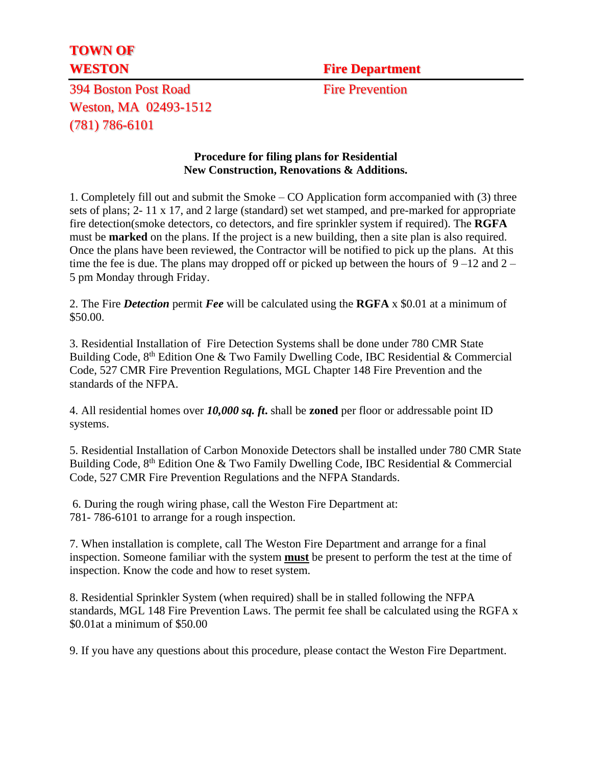## **TOWN OF**

**WESTON** Fire Department

394 Boston Post Road Fire Prevention Weston, MA 02493-1512 (781) 786-6101

## **Procedure for filing plans for Residential New Construction, Renovations & Additions.**

1. Completely fill out and submit the Smoke – CO Application form accompanied with (3) three sets of plans; 2- 11 x 17, and 2 large (standard) set wet stamped, and pre-marked for appropriate fire detection(smoke detectors, co detectors, and fire sprinkler system if required). The **RGFA** must be **marked** on the plans. If the project is a new building, then a site plan is also required. Once the plans have been reviewed, the Contractor will be notified to pick up the plans. At this time the fee is due. The plans may dropped off or picked up between the hours of  $9-12$  and  $2-$ 5 pm Monday through Friday.

2. The Fire *Detection* permit *Fee* will be calculated using the **RGFA** x \$0.01 at a minimum of \$50.00.

3. Residential Installation of Fire Detection Systems shall be done under 780 CMR State Building Code, 8<sup>th</sup> Edition One & Two Family Dwelling Code, IBC Residential & Commercial Code, 527 CMR Fire Prevention Regulations, MGL Chapter 148 Fire Prevention and the standards of the NFPA.

4. All residential homes over *10,000 sq. ft***.** shall be **zoned** per floor or addressable point ID systems.

5. Residential Installation of Carbon Monoxide Detectors shall be installed under 780 CMR State Building Code, 8<sup>th</sup> Edition One & Two Family Dwelling Code, IBC Residential & Commercial Code, 527 CMR Fire Prevention Regulations and the NFPA Standards.

6. During the rough wiring phase, call the Weston Fire Department at: 781- 786-6101 to arrange for a rough inspection.

7. When installation is complete, call The Weston Fire Department and arrange for a final inspection. Someone familiar with the system **must** be present to perform the test at the time of inspection. Know the code and how to reset system.

8. Residential Sprinkler System (when required) shall be in stalled following the NFPA standards, MGL 148 Fire Prevention Laws. The permit fee shall be calculated using the RGFA x \$0.01at a minimum of \$50.00

9. If you have any questions about this procedure, please contact the Weston Fire Department.